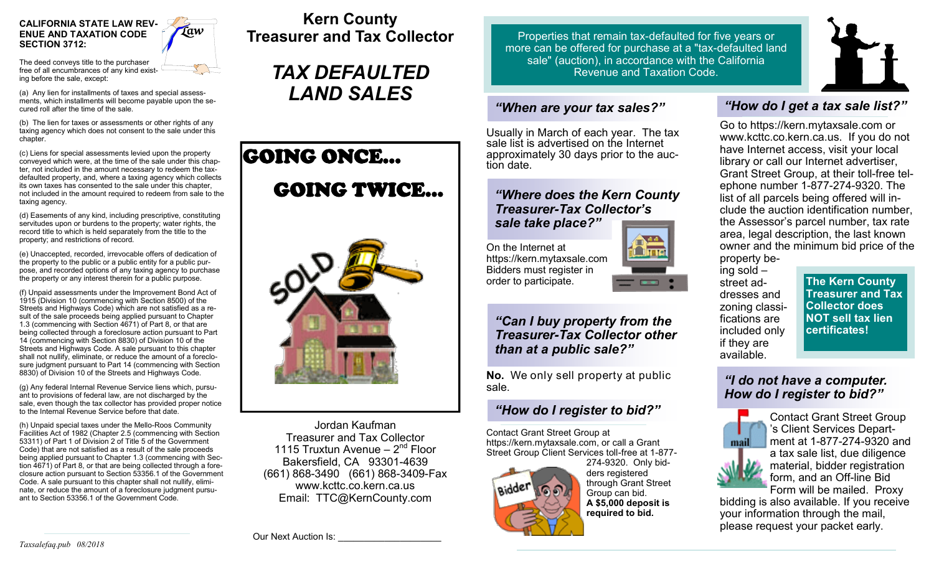

The deed conveys title to the purchaser free of all encumbrances of any kind existing before the sale, except:

(a) Any lien for installments of taxes and special assessments, which installments will become payable upon the secured roll after the time of the sale.

(b) The lien for taxes or assessments or other rights of any taxing agency which does not consent to the sale under this chapter.

(c) Liens for special assessments levied upon the property conveyed which were, at the time of the sale under this chapter, not included in the amount necessary to redeem the taxdefaulted property, and, where a taxing agency which collects its own taxes has consented to the sale under this chapter, not included in the amount required to redeem from sale to the taxing agency.

(d) Easements of any kind, including prescriptive, constituting servitudes upon or burdens to the property; water rights, the record title to which is held separately from the title to the property; and restrictions of record.

(e) Unaccepted, recorded, irrevocable offers of dedication of the property to the public or a public entity for a public purpose, and recorded options of any taxing agency to purchase the property or any interest therein for a public purpose.

(f) Unpaid assessments under the Improvement Bond Act of 1915 (Division 10 (commencing with Section 8500) of the Streets and Highways Code) which are not satisfied as a result of the sale proceeds being applied pursuant to Chapter 1.3 (commencing with Section 4671) of Part 8, or that are being collected through a foreclosure action pursuant to Part 14 (commencing with Section 8830) of Division 10 of the Streets and Highways Code. A sale pursuant to this chapter shall not nullify, eliminate, or reduce the amount of a foreclosure judgment pursuant to Part 14 (commencing with Section 8830) of Division 10 of the Streets and Highways Code.

(g) Any federal Internal Revenue Service liens which, pursuant to provisions of federal law, are not discharged by the sale, even though the tax collector has provided proper notice to the Internal Revenue Service before that date.

(h) Unpaid special taxes under the Mello-Roos Community Facilities Act of 1982 (Chapter 2.5 (commencing with Section 53311) of Part 1 of Division 2 of Title 5 of the Government Code) that are not satisfied as a result of the sale proceeds being applied pursuant to Chapter 1.3 (commencing with Section 4671) of Part 8, or that are being collected through a foreclosure action pursuant to Section 53356.1 of the Government Code. A sale pursuant to this chapter shall not nullify, eliminate, or reduce the amount of a foreclosure judgment pursuant to Section 53356.1 of the Government Code.

**Kern County Treasurer and Tax Collector**

> *TAX DEFAULTED LAND SALES*





Jordan Kaufman Treasurer and Tax Collector 1115 Truxtun Avenue - 2<sup>nd</sup> Floor Bakersfield, CA 93301-4639 (661) 868-3490 (661) 868-3409-Fax www.kcttc.co.kern.ca.us Email: TTC@KernCounty.com

Properties that remain tax-defaulted for five years or more can be offered for purchase at a "tax-defaulted land sale" (auction), in accordance with the California Revenue and Taxation Code.

## *"When are your tax sales?"*

Usually in March of each year. The tax sale list is advertised on the Internet approximately 30 days prior to the auction date.

#### *"Where does the Kern County Treasurer-Tax Collector's sale take place?"*

On the Internet at https://kern.mytaxsale.com Bidders must register in order to participate.





**No.** We only sell property at public sale.

# *"How do I register to bid?"*

Contact Grant Street Group at https://kern.mytaxsale.com, or call a Grant Street Group Client Services toll-free at 1-877-



ders registered through Grant Street Group can bid. **A \$5,000 deposit is required to bid.**

# *"How do I get a tax sale list?"*

Go to https://kern.mytaxsale.com or www.kcttc.co.kern.ca.us. If you do not have Internet access, visit your local library or call our Internet advertiser, Grant Street Group, at their toll-free telephone number 1-877-274-9320. The list of all parcels being offered will include the auction identification number, the Assessor's parcel number, tax rate area, legal description, the last known owner and the minimum bid price of the property be-

ing sold – street addresses and zoning classifications are included only if they are available.

**The Kern County Treasurer and Tax Collector does NOT sell tax lien certificates!**

## *"I do not have a computer. How do I register to bid?"*



Contact Grant Street Group 's Client Services Department at 1-877-274-9320 and a tax sale list, due diligence material, bidder registration form, and an Off-line Bid Form will be mailed. Proxy

bidding is also available. If you receive your information through the mail, please request your packet early.